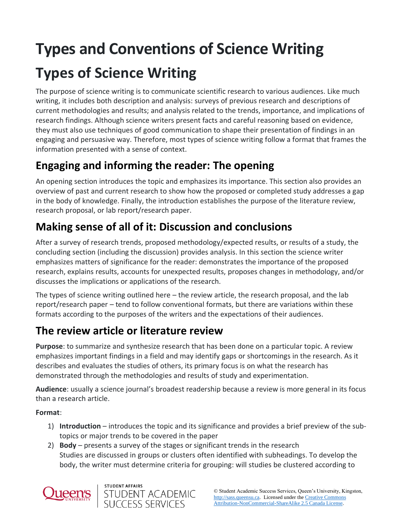# **Types and Conventions of Science Writing Types of Science Writing**

The purpose of science writing is to communicate scientific research to various audiences. Like much writing, it includes both description and analysis: surveys of previous research and descriptions of current methodologies and results; and analysis related to the trends, importance, and implications of research findings. Although science writers present facts and careful reasoning based on evidence, they must also use techniques of good communication to shape their presentation of findings in an engaging and persuasive way. Therefore, most types of science writing follow a format that frames the information presented with a sense of context.

# **Engaging and informing the reader: The opening**

An opening section introduces the topic and emphasizes its importance. This section also provides an overview of past and current research to show how the proposed or completed study addresses a gap in the body of knowledge. Finally, the introduction establishes the purpose of the literature review, research proposal, or lab report/research paper.

# **Making sense of all of it: Discussion and conclusions**

After a survey of research trends, proposed methodology/expected results, or results of a study, the concluding section (including the discussion) provides analysis. In this section the science writer emphasizes matters of significance for the reader: demonstrates the importance of the proposed research, explains results, accounts for unexpected results, proposes changes in methodology, and/or discusses the implications or applications of the research.

The types of science writing outlined here – the review article, the research proposal, and the lab report/research paper – tend to follow conventional formats, but there are variations within these formats according to the purposes of the writers and the expectations of their audiences.

# **The review article or literature review**

**Purpose**: to summarize and synthesize research that has been done on a particular topic. A review emphasizes important findings in a field and may identify gaps or shortcomings in the research. As it describes and evaluates the studies of others, its primary focus is on what the research has demonstrated through the methodologies and results of study and experimentation.

**Audience**: usually a science journal's broadest readership because a review is more general in its focus than a research article.

**Format**:

- 1) **Introduction** introduces the topic and its significance and provides a brief preview of the subtopics or major trends to be covered in the paper
- 2) **Body** presents a survey of the stages or significant trends in the research Studies are discussed in groups or clusters often identified with subheadings. To develop the body, the writer must determine criteria for grouping: will studies be clustered according to



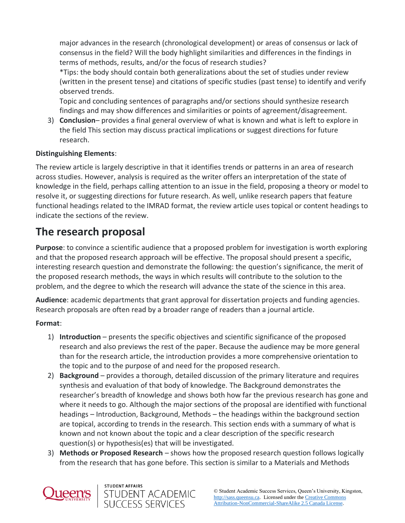major advances in the research (chronological development) or areas of consensus or lack of consensus in the field? Will the body highlight similarities and differences in the findings in terms of methods, results, and/or the focus of research studies?

\*Tips: the body should contain both generalizations about the set of studies under review (written in the present tense) and citations of specific studies (past tense) to identify and verify observed trends.

Topic and concluding sentences of paragraphs and/or sections should synthesize research findings and may show differences and similarities or points of agreement/disagreement.

3) **Conclusion**– provides a final general overview of what is known and what is left to explore in the field This section may discuss practical implications or suggest directions for future research.

### **Distinguishing Elements**:

The review article is largely descriptive in that it identifies trends or patterns in an area of research across studies. However, analysis is required as the writer offers an interpretation of the state of knowledge in the field, perhaps calling attention to an issue in the field, proposing a theory or model to resolve it, or suggesting directions for future research. As well, unlike research papers that feature functional headings related to the IMRAD format, the review article uses topical or content headings to indicate the sections of the review.

### **The research proposal**

**Purpose**: to convince a scientific audience that a proposed problem for investigation is worth exploring and that the proposed research approach will be effective. The proposal should present a specific, interesting research question and demonstrate the following: the question's significance, the merit of the proposed research methods, the ways in which results will contribute to the solution to the problem, and the degree to which the research will advance the state of the science in this area.

**Audience**: academic departments that grant approval for dissertation projects and funding agencies. Research proposals are often read by a broader range of readers than a journal article.

### **Format**:

- 1) **Introduction** presents the specific objectives and scientific significance of the proposed research and also previews the rest of the paper. Because the audience may be more general than for the research article, the introduction provides a more comprehensive orientation to the topic and to the purpose of and need for the proposed research.
- 2) **Background** provides a thorough, detailed discussion of the primary literature and requires synthesis and evaluation of that body of knowledge. The Background demonstrates the researcher's breadth of knowledge and shows both how far the previous research has gone and where it needs to go. Although the major sections of the proposal are identified with functional headings – Introduction, Background, Methods – the headings within the background section are topical, according to trends in the research. This section ends with a summary of what is known and not known about the topic and a clear description of the specific research question(s) or hypothesis(es) that will be investigated.
- 3) **Methods or Proposed Research** shows how the proposed research question follows logically from the research that has gone before. This section is similar to a Materials and Methods



STUDENT AFFAIRS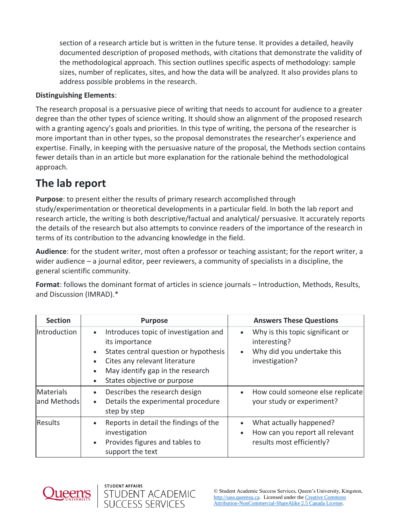section of a research article but is written in the future tense. It provides a detailed, heavily documented description of proposed methods, with citations that demonstrate the validity of the methodological approach. This section outlines specific aspects of methodology: sample sizes, number of replicates, sites, and how the data will be analyzed. It also provides plans to address possible problems in the research.

### **Distinguishing Elements**:

The research proposal is a persuasive piece of writing that needs to account for audience to a greater degree than the other types of science writing. It should show an alignment of the proposed research with a granting agency's goals and priorities. In this type of writing, the persona of the researcher is more important than in other types, so the proposal demonstrates the researcher's experience and expertise. Finally, in keeping with the persuasive nature of the proposal, the Methods section contains fewer details than in an article but more explanation for the rationale behind the methodological approach.

## **The lab report**

**Purpose**: to present either the results of primary research accomplished through study/experimentation or theoretical developments in a particular field. In both the lab report and research article, the writing is both descriptive/factual and analytical/ persuasive. It accurately reports the details of the research but also attempts to convince readers of the importance of the research in terms of its contribution to the advancing knowledge in the field.

**Audience**: for the student writer, most often a professor or teaching assistant; for the report writer, a wider audience – a journal editor, peer reviewers, a community of specialists in a discipline, the general scientific community.

**Format**: follows the dominant format of articles in science journals – Introduction, Methods, Results, and Discussion (IMRAD).\*

| <b>Section</b>           | <b>Purpose</b>                                                                                                                                                                                                                                                        | <b>Answers These Questions</b>                                                                                |
|--------------------------|-----------------------------------------------------------------------------------------------------------------------------------------------------------------------------------------------------------------------------------------------------------------------|---------------------------------------------------------------------------------------------------------------|
| Introduction             | Introduces topic of investigation and<br>$\bullet$<br>its importance<br>States central question or hypothesis<br>$\bullet$<br>Cites any relevant literature<br>$\bullet$<br>May identify gap in the research<br>$\bullet$<br>States objective or purpose<br>$\bullet$ | Why is this topic significant or<br>$\bullet$<br>interesting?<br>Why did you undertake this<br>investigation? |
| Materials<br>and Methods | Describes the research design<br>$\bullet$<br>Details the experimental procedure<br>$\bullet$<br>step by step                                                                                                                                                         | How could someone else replicate<br>your study or experiment?                                                 |
| <b>Results</b>           | Reports in detail the findings of the<br>$\bullet$<br>investigation<br>Provides figures and tables to<br>$\bullet$<br>support the text                                                                                                                                | What actually happened?<br>How can you report all relevant<br>$\bullet$<br>results most efficiently?          |



STUDENT AFFAIRS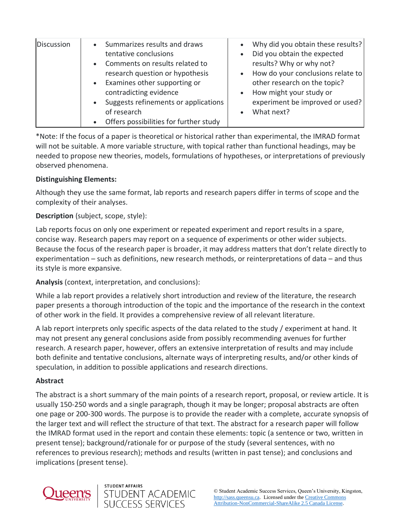| <b>Discussion</b> | • Summarizes results and draws<br>tentative conclusions<br>Comments on results related to<br>$\bullet$<br>research question or hypothesis<br>• Examines other supporting or<br>contradicting evidence<br>• Suggests refinements or applications<br>of research | Why did you obtain these results?<br>$\bullet$<br>Did you obtain the expected<br>$\bullet$<br>results? Why or why not?<br>How do your conclusions relate to<br>$\bullet$<br>other research on the topic?<br>How might your study or<br>$\bullet$<br>experiment be improved or used?<br>What next? |
|-------------------|----------------------------------------------------------------------------------------------------------------------------------------------------------------------------------------------------------------------------------------------------------------|---------------------------------------------------------------------------------------------------------------------------------------------------------------------------------------------------------------------------------------------------------------------------------------------------|
|                   | Offers possibilities for further study<br>$\bullet$                                                                                                                                                                                                            |                                                                                                                                                                                                                                                                                                   |

\*Note: If the focus of a paper is theoretical or historical rather than experimental, the IMRAD format will not be suitable. A more variable structure, with topical rather than functional headings, may be needed to propose new theories, models, formulations of hypotheses, or interpretations of previously observed phenomena.

### **Distinguishing Elements:**

Although they use the same format, lab reports and research papers differ in terms of scope and the complexity of their analyses.

### **Description** (subject, scope, style):

Lab reports focus on only one experiment or repeated experiment and report results in a spare, concise way. Research papers may report on a sequence of experiments or other wider subjects. Because the focus of the research paper is broader, it may address matters that don't relate directly to experimentation – such as definitions, new research methods, or reinterpretations of data – and thus its style is more expansive.

**Analysis** (context, interpretation, and conclusions):

While a lab report provides a relatively short introduction and review of the literature, the research paper presents a thorough introduction of the topic and the importance of the research in the context of other work in the field. It provides a comprehensive review of all relevant literature.

A lab report interprets only specific aspects of the data related to the study / experiment at hand. It may not present any general conclusions aside from possibly recommending avenues for further research. A research paper, however, offers an extensive interpretation of results and may include both definite and tentative conclusions, alternate ways of interpreting results, and/or other kinds of speculation, in addition to possible applications and research directions.

### **Abstract**

The abstract is a short summary of the main points of a research report, proposal, or review article. It is usually 150-250 words and a single paragraph, though it may be longer; proposal abstracts are often one page or 200-300 words. The purpose is to provide the reader with a complete, accurate synopsis of the larger text and will reflect the structure of that text. The abstract for a research paper will follow the IMRAD format used in the report and contain these elements: topic (a sentence or two, written in present tense); background/rationale for or purpose of the study (several sentences, with no references to previous research); methods and results (written in past tense); and conclusions and implications (present tense).



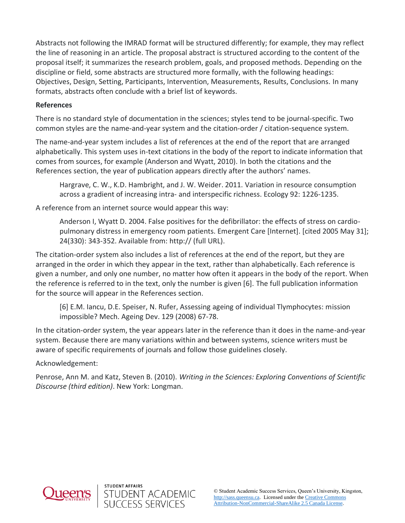Abstracts not following the IMRAD format will be structured differently; for example, they may reflect the line of reasoning in an article. The proposal abstract is structured according to the content of the proposal itself; it summarizes the research problem, goals, and proposed methods. Depending on the discipline or field, some abstracts are structured more formally, with the following headings: Objectives, Design, Setting, Participants, Intervention, Measurements, Results, Conclusions. In many formats, abstracts often conclude with a brief list of keywords.

#### **References**

There is no standard style of documentation in the sciences; styles tend to be journal-specific. Two common styles are the name-and-year system and the citation-order / citation-sequence system.

The name-and-year system includes a list of references at the end of the report that are arranged alphabetically. This system uses in-text citations in the body of the report to indicate information that comes from sources, for example (Anderson and Wyatt, 2010). In both the citations and the References section, the year of publication appears directly after the authors' names.

Hargrave, C. W., K.D. Hambright, and J. W. Weider. 2011. Variation in resource consumption across a gradient of increasing intra- and interspecific richness. Ecology 92: 1226-1235.

A reference from an internet source would appear this way:

Anderson I, Wyatt D. 2004. False positives for the defibrillator: the effects of stress on cardiopulmonary distress in emergency room patients. Emergent Care [Internet]. [cited 2005 May 31]; 24(330): 343-352. Available from: http:// (full URL).

The citation-order system also includes a list of references at the end of the report, but they are arranged in the order in which they appear in the text, rather than alphabetically. Each reference is given a number, and only one number, no matter how often it appears in the body of the report. When the reference is referred to in the text, only the number is given [6]. The full publication information for the source will appear in the References section.

[6] E.M. Iancu, D.E. Speiser, N. Rufer, Assessing ageing of individual Tlymphocytes: mission impossible? Mech. Ageing Dev. 129 (2008) 67-78.

In the citation-order system, the year appears later in the reference than it does in the name-and-year system. Because there are many variations within and between systems, science writers must be aware of specific requirements of journals and follow those guidelines closely.

Acknowledgement:

Penrose, Ann M. and Katz, Steven B. (2010). *Writing in the Sciences: Exploring Conventions of Scientific Discourse (third edition)*. New York: Longman.



STUDENT AFFAIRS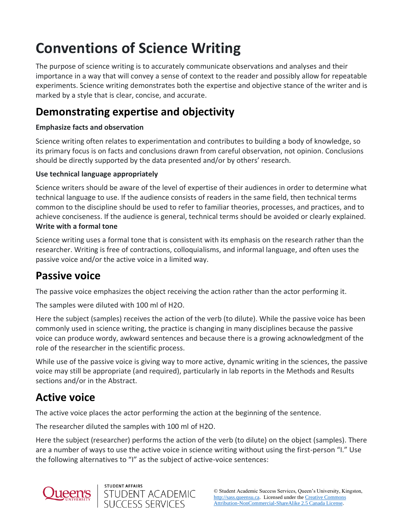# **Conventions of Science Writing**

The purpose of science writing is to accurately communicate observations and analyses and their importance in a way that will convey a sense of context to the reader and possibly allow for repeatable experiments. Science writing demonstrates both the expertise and objective stance of the writer and is marked by a style that is clear, concise, and accurate.

### **Demonstrating expertise and objectivity**

### **Emphasize facts and observation**

Science writing often relates to experimentation and contributes to building a body of knowledge, so its primary focus is on facts and conclusions drawn from careful observation, not opinion. Conclusions should be directly supported by the data presented and/or by others' research.

### **Use technical language appropriately**

Science writers should be aware of the level of expertise of their audiences in order to determine what technical language to use. If the audience consists of readers in the same field, then technical terms common to the discipline should be used to refer to familiar theories, processes, and practices, and to achieve conciseness. If the audience is general, technical terms should be avoided or clearly explained. **Write with a formal tone**

Science writing uses a formal tone that is consistent with its emphasis on the research rather than the researcher. Writing is free of contractions, colloquialisms, and informal language, and often uses the passive voice and/or the active voice in a limited way.

### **Passive voice**

The passive voice emphasizes the object receiving the action rather than the actor performing it.

The samples were diluted with 100 ml of H2O.

Here the subject (samples) receives the action of the verb (to dilute). While the passive voice has been commonly used in science writing, the practice is changing in many disciplines because the passive voice can produce wordy, awkward sentences and because there is a growing acknowledgment of the role of the researcher in the scientific process.

While use of the passive voice is giving way to more active, dynamic writing in the sciences, the passive voice may still be appropriate (and required), particularly in lab reports in the Methods and Results sections and/or in the Abstract.

### **Active voice**

The active voice places the actor performing the action at the beginning of the sentence.

The researcher diluted the samples with 100 ml of H2O.

Here the subject (researcher) performs the action of the verb (to dilute) on the object (samples). There are a number of ways to use the active voice in science writing without using the first-person "I." Use the following alternatives to "I" as the subject of active-voice sentences:



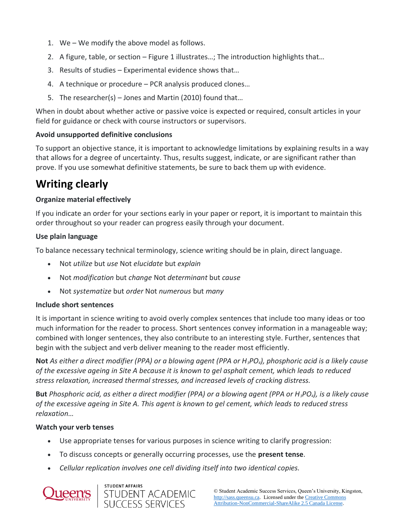- 1. We We modify the above model as follows.
- 2. A figure, table, or section Figure 1 illustrates…; The introduction highlights that…
- 3. Results of studies Experimental evidence shows that…
- 4. A technique or procedure PCR analysis produced clones…
- 5. The researcher(s) Jones and Martin (2010) found that…

When in doubt about whether active or passive voice is expected or required, consult articles in your field for guidance or check with course instructors or supervisors.

### **Avoid unsupported definitive conclusions**

To support an objective stance, it is important to acknowledge limitations by explaining results in a way that allows for a degree of uncertainty. Thus, results suggest, indicate, or are significant rather than prove. If you use somewhat definitive statements, be sure to back them up with evidence.

# **Writing clearly**

### **Organize material effectively**

If you indicate an order for your sections early in your paper or report, it is important to maintain this order throughout so your reader can progress easily through your document.

### **Use plain language**

To balance necessary technical terminology, science writing should be in plain, direct language.

- Not *utilize* but *use* Not *elucidate* but *explain*
- Not *modification* but *change* Not *determinant* but *cause*
- Not *systematize* but *order* Not *numerous* but *many*

### **Include short sentences**

It is important in science writing to avoid overly complex sentences that include too many ideas or too much information for the reader to process. Short sentences convey information in a manageable way; combined with longer sentences, they also contribute to an interesting style. Further, sentences that begin with the subject and verb deliver meaning to the reader most efficiently.

**Not** *As either a direct modifier (PPA) or a blowing agent (PPA or H3PO4), phosphoric acid is a likely cause of the excessive ageing in Site A because it is known to gel asphalt cement, which leads to reduced stress relaxation, increased thermal stresses, and increased levels of cracking distress.*

**But** *Phosphoric acid, as either a direct modifier (PPA) or a blowing agent (PPA or H3PO4), is a likely cause of the excessive ageing in Site A. This agent is known to gel cement, which leads to reduced stress relaxation…*

### **Watch your verb tenses**

- Use appropriate tenses for various purposes in science writing to clarify progression:
- To discuss concepts or generally occurring processes, use the **present tense**.
- *Cellular replication involves one cell dividing itself into two identical copies.*



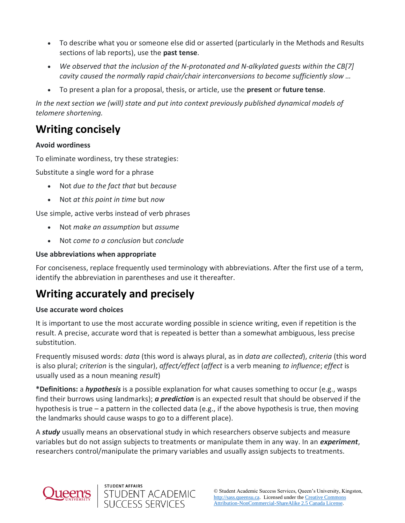- To describe what you or someone else did or asserted (particularly in the Methods and Results sections of lab reports), use the **past tense**.
- *We observed that the inclusion of the N-protonated and N-alkylated guests within the CB[7] cavity caused the normally rapid chair/chair interconversions to become sufficiently slow …*
- To present a plan for a proposal, thesis, or article, use the **present** or **future tense**.

*In the next section we (will) state and put into context previously published dynamical models of telomere shortening.*

# **Writing concisely**

### **Avoid wordiness**

To eliminate wordiness, try these strategies:

Substitute a single word for a phrase

- Not *due to the fact that* but *because*
- Not *at this point in time* but *now*

Use simple, active verbs instead of verb phrases

- Not *make an assumption* but *assume*
- Not *come to a conclusion* but *conclude*

### **Use abbreviations when appropriate**

For conciseness, replace frequently used terminology with abbreviations. After the first use of a term, identify the abbreviation in parentheses and use it thereafter.

## **Writing accurately and precisely**

STUDENT AFFAIRS

STUDENT ACADEMIC<br>SUCCESS SERVICES

### **Use accurate word choices**

It is important to use the most accurate wording possible in science writing, even if repetition is the result. A precise, accurate word that is repeated is better than a somewhat ambiguous, less precise substitution.

Frequently misused words: *data* (this word is always plural, as in *data are collected*), *criteria* (this word is also plural; *criterion* is the singular), *affect/effect* (*affect* is a verb meaning *to influence*; *effect* is usually used as a noun meaning *result*)

**\*Definitions:** a *hypothesis* is a possible explanation for what causes something to occur (e.g., wasps find their burrows using landmarks); *a prediction* is an expected result that should be observed if the hypothesis is true – a pattern in the collected data (e.g., if the above hypothesis is true, then moving the landmarks should cause wasps to go to a different place).

A *study* usually means an observational study in which researchers observe subjects and measure variables but do not assign subjects to treatments or manipulate them in any way. In an *experiment*, researchers control/manipulate the primary variables and usually assign subjects to treatments.